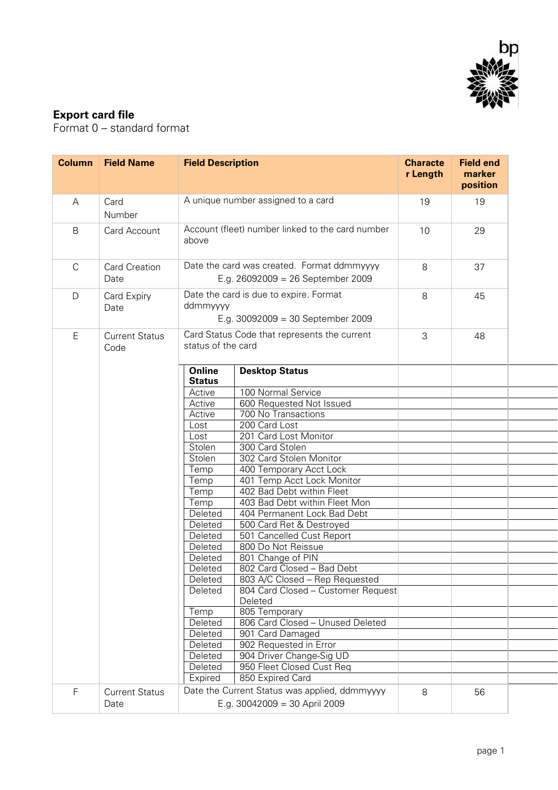

## **Export card file**

Format 0 – standard format

| <b>Column</b> | <b>Field Name</b>             | <b>Field Description</b> |                                                                                           | <b>Characte</b><br>r Length | <b>Field end</b><br>marker<br>position |  |
|---------------|-------------------------------|--------------------------|-------------------------------------------------------------------------------------------|-----------------------------|----------------------------------------|--|
| А             | Card<br>Number                |                          | A unique number assigned to a card                                                        |                             | 19                                     |  |
| B             | Card Account                  | above                    | Account (fleet) number linked to the card number                                          |                             | 29                                     |  |
| $\mathsf{C}$  | <b>Card Creation</b><br>Date  |                          | Date the card was created. Format ddmmyyyy<br>E.g. $26092009 = 26$ September 2009         |                             | 37                                     |  |
| D             | Card Expiry<br>Date           |                          | Date the card is due to expire. Format<br>ddmmyyyy<br>E.g. $30092009 = 30$ September 2009 |                             | 45                                     |  |
| E             | <b>Current Status</b><br>Code | status of the card       | Card Status Code that represents the current                                              | 3                           | 48                                     |  |
|               |                               | Online<br><b>Status</b>  | <b>Desktop Status</b>                                                                     |                             |                                        |  |
|               |                               | Active                   | 100 Normal Service                                                                        |                             |                                        |  |
|               |                               | Active                   | 600 Requested Not Issued                                                                  |                             |                                        |  |
|               |                               | Active                   | 700 No Transactions                                                                       |                             |                                        |  |
|               |                               | Lost                     | 200 Card Lost                                                                             |                             |                                        |  |
|               |                               | Lost                     | 201 Card Lost Monitor                                                                     |                             |                                        |  |
|               |                               | Stolen                   | 300 Card Stolen                                                                           |                             |                                        |  |
|               |                               | Stolen                   | 302 Card Stolen Monitor                                                                   |                             |                                        |  |
|               |                               | Temp                     | 400 Temporary Acct Lock                                                                   |                             |                                        |  |
|               |                               | Temp                     | 401 Temp Acct Lock Monitor                                                                |                             |                                        |  |
|               |                               | Temp                     | 402 Bad Debt within Fleet                                                                 |                             |                                        |  |
|               |                               | Temp                     | 403 Bad Debt within Fleet Mon                                                             |                             |                                        |  |
|               |                               | Deleted                  | 404 Permanent Lock Bad Debt                                                               |                             |                                        |  |
|               |                               | Deleted                  | 500 Card Ret & Destroyed                                                                  |                             |                                        |  |
|               |                               | Deleted                  | 501 Cancelled Cust Report                                                                 |                             |                                        |  |
|               |                               | Deleted                  | 800 Do Not Reissue                                                                        |                             |                                        |  |
|               |                               | Deleted                  | 801 Change of PIN                                                                         |                             |                                        |  |
|               |                               | Deleted                  | 802 Card Closed - Bad Debt                                                                |                             |                                        |  |
|               |                               | Deleted<br>Deleted       | 803 A/C Closed - Rep Requested<br>804 Card Closed - Customer Request                      |                             |                                        |  |
|               |                               |                          | Deleted                                                                                   |                             |                                        |  |
|               |                               | Temp                     | 805 Temporary                                                                             |                             |                                        |  |
|               |                               | Deleted                  | 806 Card Closed - Unused Deleted                                                          |                             |                                        |  |
|               |                               | Deleted                  | 901 Card Damaged                                                                          |                             |                                        |  |
|               |                               | Deleted                  | 902 Requested in Error                                                                    |                             |                                        |  |
|               |                               | Deleted                  | 904 Driver Change-Sig UD                                                                  |                             |                                        |  |
|               |                               | Deleted                  | 950 Fleet Closed Cust Req                                                                 |                             |                                        |  |
|               |                               | Expired                  | 850 Expired Card                                                                          |                             |                                        |  |
| F             | <b>Current Status</b>         |                          | Date the Current Status was applied, ddmmyyyy                                             | 8                           | 56                                     |  |
|               | Date                          |                          | E.g. $30042009 = 30$ April 2009                                                           |                             |                                        |  |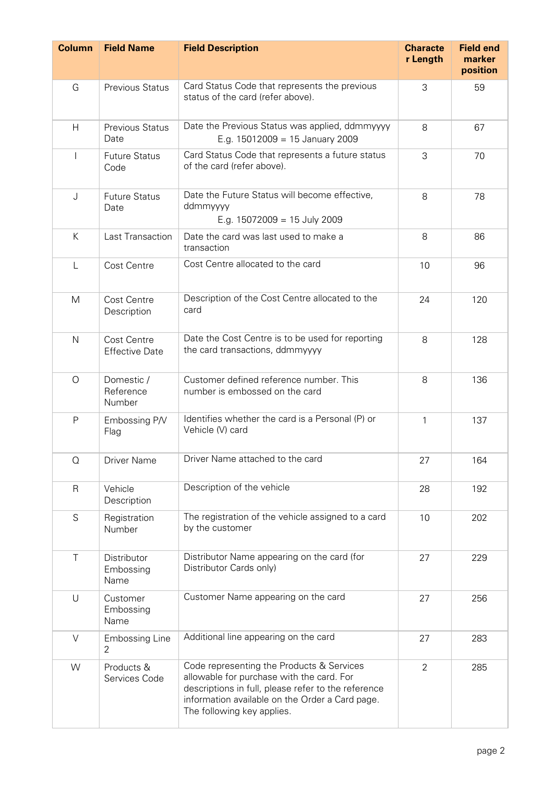| <b>Column</b> | <b>Field Name</b>                    | <b>Field Description</b>                                                                                                                                                                                                       | <b>Characte</b><br>r Length | <b>Field end</b><br>marker<br>position |
|---------------|--------------------------------------|--------------------------------------------------------------------------------------------------------------------------------------------------------------------------------------------------------------------------------|-----------------------------|----------------------------------------|
| G             | <b>Previous Status</b>               | Card Status Code that represents the previous<br>status of the card (refer above).                                                                                                                                             | 3                           | 59                                     |
| H             | <b>Previous Status</b><br>Date       | Date the Previous Status was applied, ddmmyyyy<br>E.g. $15012009 = 15$ January 2009                                                                                                                                            | 8                           | 67                                     |
|               | <b>Future Status</b><br>Code         | Card Status Code that represents a future status<br>of the card (refer above).                                                                                                                                                 | 3                           | 70                                     |
| J             | <b>Future Status</b><br>Date         | Date the Future Status will become effective,<br>ddmmyyyy<br>E.g. $15072009 = 15$ July 2009                                                                                                                                    | 8                           | 78                                     |
| K             | Last Transaction                     | Date the card was last used to make a<br>transaction                                                                                                                                                                           | 8                           | 86                                     |
| L             | Cost Centre                          | Cost Centre allocated to the card                                                                                                                                                                                              | 10                          | 96                                     |
| M             | Cost Centre<br>Description           | Description of the Cost Centre allocated to the<br>card                                                                                                                                                                        | 24                          | 120                                    |
| $\mathsf{N}$  | Cost Centre<br><b>Effective Date</b> | Date the Cost Centre is to be used for reporting<br>the card transactions, ddmmyyyy                                                                                                                                            | 8                           | 128                                    |
| $\circ$       | Domestic /<br>Reference<br>Number    | Customer defined reference number. This<br>number is embossed on the card                                                                                                                                                      | 8                           | 136                                    |
| P             | Embossing P/V<br>Flag                | Identifies whether the card is a Personal (P) or<br>Vehicle (V) card                                                                                                                                                           | 1                           | 137                                    |
| Q             | <b>Driver Name</b>                   | Driver Name attached to the card                                                                                                                                                                                               | 27                          | 164                                    |
| $\mathsf{R}$  | Vehicle<br>Description               | Description of the vehicle                                                                                                                                                                                                     | 28                          | 192                                    |
| $\mathsf S$   | Registration<br>Number               | The registration of the vehicle assigned to a card<br>by the customer                                                                                                                                                          | 10                          | 202                                    |
| Τ             | Distributor<br>Embossing<br>Name     | Distributor Name appearing on the card (for<br>Distributor Cards only)                                                                                                                                                         | 27                          | 229                                    |
| $\cup$        | Customer<br>Embossing<br>Name        | Customer Name appearing on the card                                                                                                                                                                                            | 27                          | 256                                    |
| $\vee$        | <b>Embossing Line</b><br>2           | Additional line appearing on the card                                                                                                                                                                                          | 27                          | 283                                    |
| W             | Products &<br>Services Code          | Code representing the Products & Services<br>allowable for purchase with the card. For<br>descriptions in full, please refer to the reference<br>information available on the Order a Card page.<br>The following key applies. | $\overline{2}$              | 285                                    |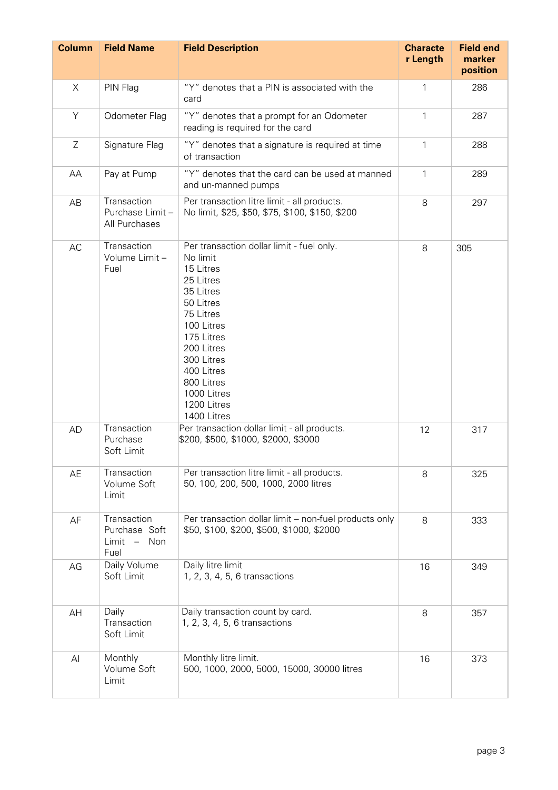| <b>Column</b> | <b>Field Name</b>                                   | <b>Field Description</b>                                                                                                                                                                                                                                | <b>Characte</b><br>r Length | <b>Field end</b><br>marker<br>position |
|---------------|-----------------------------------------------------|---------------------------------------------------------------------------------------------------------------------------------------------------------------------------------------------------------------------------------------------------------|-----------------------------|----------------------------------------|
| X             | PIN Flag                                            | "Y" denotes that a PIN is associated with the<br>card                                                                                                                                                                                                   | $\mathbf{1}$                | 286                                    |
| Y             | Odometer Flag                                       | "Y" denotes that a prompt for an Odometer<br>reading is required for the card                                                                                                                                                                           | 1                           | 287                                    |
| Ζ             | Signature Flag                                      | "Y" denotes that a signature is required at time<br>of transaction                                                                                                                                                                                      | $\mathbf{1}$                | 288                                    |
| AA            | Pay at Pump                                         | "Y" denotes that the card can be used at manned<br>and un-manned pumps                                                                                                                                                                                  | $\mathbf{1}$                | 289                                    |
| AB            | Transaction<br>Purchase Limit-<br>All Purchases     | Per transaction litre limit - all products.<br>No limit, \$25, \$50, \$75, \$100, \$150, \$200                                                                                                                                                          | 8                           | 297                                    |
| AC            | Transaction<br>Volume Limit -<br>Fuel               | Per transaction dollar limit - fuel only.<br>No limit<br>15 Litres<br>25 Litres<br>35 Litres<br>50 Litres<br>75 Litres<br>100 Litres<br>175 Litres<br>200 Litres<br>300 Litres<br>400 Litres<br>800 Litres<br>1000 Litres<br>1200 Litres<br>1400 Litres | 8                           | 305                                    |
| <b>AD</b>     | Transaction<br>Purchase<br>Soft Limit               | Per transaction dollar limit - all products.<br>\$200, \$500, \$1000, \$2000, \$3000                                                                                                                                                                    | 12                          | 317                                    |
| AE            | Transaction<br>Volume Soft<br>Limit                 | Per transaction litre limit - all products.<br>50, 100, 200, 500, 1000, 2000 litres                                                                                                                                                                     | 8                           | 325                                    |
| AF            | Transaction<br>Purchase Soft<br>Limit - Non<br>Fuel | Per transaction dollar limit - non-fuel products only<br>\$50, \$100, \$200, \$500, \$1000, \$2000                                                                                                                                                      | 8                           | 333                                    |
| AG            | Daily Volume<br>Soft Limit                          | Daily litre limit<br>1, 2, 3, 4, 5, 6 transactions                                                                                                                                                                                                      | 16                          | 349                                    |
| AH            | Daily<br>Transaction<br>Soft Limit                  | Daily transaction count by card.<br>1, 2, 3, 4, 5, 6 transactions                                                                                                                                                                                       | 8                           | 357                                    |
| AI            | Monthly<br>Volume Soft<br>Limit                     | Monthly litre limit.<br>500, 1000, 2000, 5000, 15000, 30000 litres                                                                                                                                                                                      | 16                          | 373                                    |